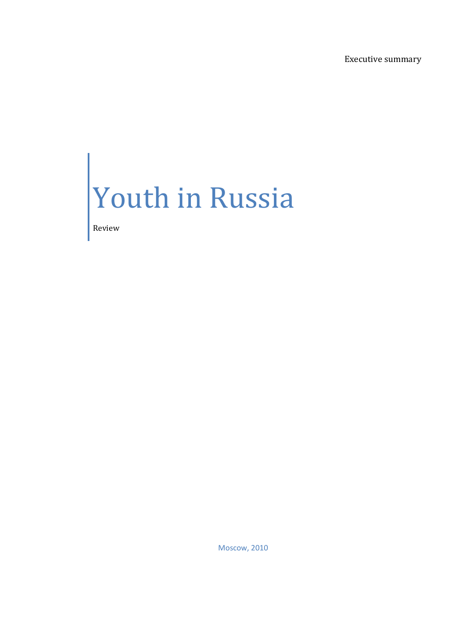Executive summary

## Youth in Russia

Review

Moscow, 2010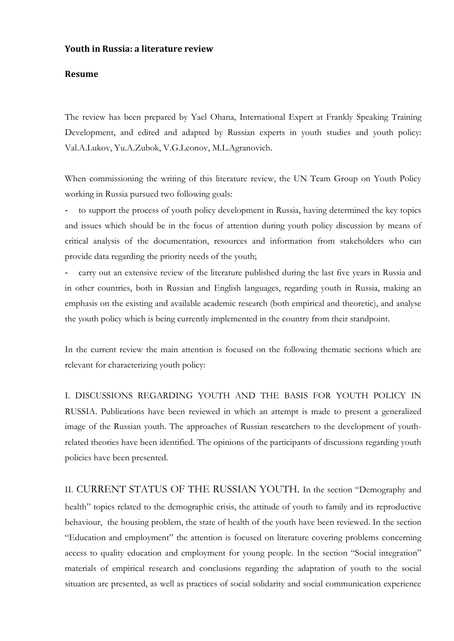## **Youth in Russia: a literature review**

## **Resume**

The review has been prepared by Yael Ohana, International Expert at Frankly Speaking Training Development, and edited and adapted by Russian experts in youth studies and youth policy: Val.A.Lukov, Yu.A.Zubok, V.G.Leonov, M.L.Agranovich.

When commissioning the writing of this literature review, the UN Team Group on Youth Policy working in Russia pursued two following goals:

to support the process of youth policy development in Russia, having determined the key topics and issues which should be in the focus of attention during youth policy discussion by means of critical analysis of the documentation, resources and information from stakeholders who can provide data regarding the priority needs of the youth;

carry out an extensive review of the literature published during the last five years in Russia and in other countries, both in Russian and English languages, regarding youth in Russia, making an emphasis on the existing and available academic research (both empirical and theoretic), and analyse the youth policy which is being currently implemented in the country from their standpoint.

In the current review the main attention is focused on the following thematic sections which are relevant for characterizing youth policy:

I. DISCUSSIONS REGARDING YOUTH AND THE BASIS FOR YOUTH POLICY IN RUSSIA. Publications have been reviewed in which an attempt is made to present a generalized image of the Russian youth. The approaches of Russian researchers to the development of youthrelated theories have been identified. The opinions of the participants of discussions regarding youth policies have been presented.

II. CURRENT STATUS OF THE RUSSIAN YOUTH. In the section "Demography and health" topics related to the demographic crisis, the attitude of youth to family and its reproductive behaviour, the housing problem, the state of health of the youth have been reviewed. In the section "Education and employment" the attention is focused on literature covering problems concerning access to quality education and employment for young people. In the section "Social integration" materials of empirical research and conclusions regarding the adaptation of youth to the social situation are presented, as well as practices of social solidarity and social communication experience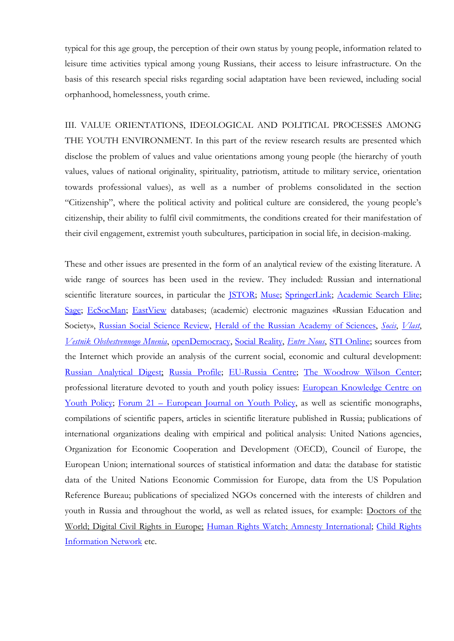typical for this age group, the perception of their own status by young people, information related to leisure time activities typical among young Russians, their access to leisure infrastructure. On the basis of this research special risks regarding social adaptation have been reviewed, including social orphanhood, homelessness, youth crime.

III. VALUE ORIENTATIONS, IDEOLOGICAL AND POLITICAL PROCESSES AMONG THE YOUTH ENVIRONMENT. In this part of the review research results are presented which disclose the problem of values and value orientations among young people (the hierarchy of youth values, values of national originality, spirituality, patriotism, attitude to military service, orientation towards professional values), as well as a number of problems consolidated in the section "Citizenship", where the political activity and political culture are considered, the young people"s citizenship, their ability to fulfil civil commitments, the conditions created for their manifestation of their civil engagement, extremist youth subcultures, participation in social life, in decision-making.

These and other issues are presented in the form of an analytical review of the existing literature. A wide range of sources has been used in the review. They included: Russian and international scientific literature sources, in particular the [JSTOR;](http://www.jstor.org/?cookieSet=1) [Muse;](http://muse.jhu.edu/) [SpringerLink;](http://www.springer.com/?SGWID=5-102-0-0-0) [Academic](http://www.ebscohost.com/thisTopic.php?marketID=1&topicID=3) Search Elite; [Sage;](http://online.sagepub.com/) [EcSocMan;](http://ecsocman.edu.ru/) [EastView](http://www.eastview.com/main/index.aspx) databases; (academic) electronic magazines «Russian Education and Society», Russian Social Science [Review,](http://www.mesharpe.com/mall/results1.asp?ACR=rss) Herald of the Russian [Academy](http://www.maik.ru/cgi-perl/journal.pl?name=herald&page=main) of Sciences, *[Socis](http://www.isras.ru/socis.html)*, *[Vlast](http://www.isras.ru/authority.html)*, *Vestnik [Obshestvennogo](http://www.levada.ru/eng/zhurnal.html) Mnenia*, [openDemocracy,](http://www.opendemocracy.net/) Social [Reality,](http://socreal.fom.ru/english/?link=INDEX_TOPIC) *[Entre](http://www.euro.who.int/entrenous) Nous*, STI [Online;](http://sti.bmj.com/) sources from the Internet which provide an analysis of the current social, economic and cultural development: Russian [Analytical](http://www.russlandanalysen.de/) Digest; Russia [Profile;](http://www.russiaprofile.org/) [EU-Russia](http://www.eu-russiacentre.org/) Centre; The [Woodrow](http://www.wilsoncenter.org/) Wilson Center; professional literature devoted to youth and youth policy issues: European [Knowledge](http://www.youth-partnership.net/) Centre on Youth [Policy;](http://www.youth-partnership.net/) Forum 21 – [European](http://www.coe.int/t/dg4/youth/Resources/Forum_21/forum_en.asp) Journal on Youth Policy, as well as scientific monographs, compilations of scientific papers, articles in scientific literature published in Russia; publications of international organizations dealing with empirical and political analysis: United Nations agencies, Organization for Economic Cooperation and Development (OECD), Council of Europe, the European Union; international sources of statistical information and data: the database for statistic data of the United Nations Economic Commission for Europe, data from the US Population Reference Bureau; publications of specialized NGOs concerned with the interests of children and youth in Russia and throughout the world, as well as related issues, for example: Doctors of the World; Digital Civil Rights in Europe; [Human](http://www.hrw.org/) Rights Watch; Amnesty [International;](http://www.amnesty.org/) Child [Rights](http://www.crin.org/index.asp) [Information](http://www.crin.org/index.asp) Network etc.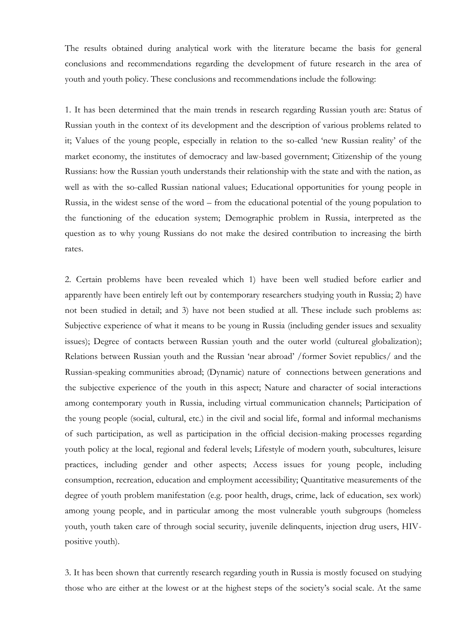The results obtained during analytical work with the literature became the basis for general conclusions and recommendations regarding the development of future research in the area of youth and youth policy. These conclusions and recommendations include the following:

1. It has been determined that the main trends in research regarding Russian youth are: Status of Russian youth in the context of its development and the description of various problems related to it; Values of the young people, especially in relation to the so-called "new Russian reality" of the market economy, the institutes of democracy and law-based government; Citizenship of the young Russians: how the Russian youth understands their relationship with the state and with the nation, as well as with the so-called Russian national values; Educational opportunities for young people in Russia, in the widest sense of the word – from the educational potential of the young population to the functioning of the education system; Demographic problem in Russia, interpreted as the question as to why young Russians do not make the desired contribution to increasing the birth rates.

2. Certain problems have been revealed which 1) have been well studied before earlier and apparently have been entirely left out by contemporary researchers studying youth in Russia; 2) have not been studied in detail; and 3) have not been studied at all. These include such problems as: Subjective experience of what it means to be young in Russia (including gender issues and sexuality issues); Degree of contacts between Russian youth and the outer world (cultureal globalization); Relations between Russian youth and the Russian "near abroad" /former Soviet republics/ and the Russian-speaking communities abroad; (Dynamic) nature of connections between generations and the subjective experience of the youth in this aspect; Nature and character of social interactions among contemporary youth in Russia, including virtual communication channels; Participation of the young people (social, cultural, etc.) in the civil and social life, formal and informal mechanisms of such participation, as well as participation in the official decision-making processes regarding youth policy at the local, regional and federal levels; Lifestyle of modern youth, subcultures, leisure practices, including gender and other aspects; Access issues for young people, including consumption, recreation, education and employment accessibility; Quantitative measurements of the degree of youth problem manifestation (e.g. poor health, drugs, crime, lack of education, sex work) among young people, and in particular among the most vulnerable youth subgroups (homeless youth, youth taken care of through social security, juvenile delinquents, injection drug users, HIVpositive youth).

3. It has been shown that currently research regarding youth in Russia is mostly focused on studying those who are either at the lowest or at the highest steps of the society"s social scale. At the same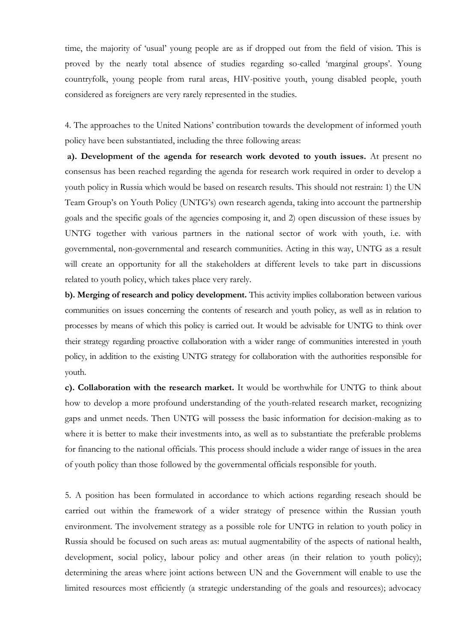time, the majority of "usual" young people are as if dropped out from the field of vision. This is proved by the nearly total absence of studies regarding so-called 'marginal groups'. Young countryfolk, young people from rural areas, HIV-positive youth, young disabled people, youth considered as foreigners are very rarely represented in the studies.

4. The approaches to the United Nations" contribution towards the development of informed youth policy have been substantiated, including the three following areas:

**a). Development of the agenda for research work devoted to youth issues.** At present no consensus has been reached regarding the agenda for research work required in order to develop a youth policy in Russia which would be based on research results. This should not restrain: 1) the UN Team Group"s on Youth Policy (UNTG"s) own research agenda, taking into account the partnership goals and the specific goals of the agencies composing it, and 2) open discussion of these issues by UNTG together with various partners in the national sector of work with youth, i.e. with governmental, non-governmental and research communities. Acting in this way, UNTG as a result will create an opportunity for all the stakeholders at different levels to take part in discussions related to youth policy, which takes place very rarely.

**b). Merging of research and policy development.** This activity implies collaboration between various communities on issues concerning the contents of research and youth policy, as well as in relation to processes by means of which this policy is carried out. It would be advisable for UNTG to think over their strategy regarding proactive collaboration with a wider range of communities interested in youth policy, in addition to the existing UNTG strategy for collaboration with the authorities responsible for youth.

**с). Collaboration with the research market.** It would be worthwhile for UNTG to think about how to develop a more profound understanding of the youth-related research market, recognizing gaps and unmet needs. Then UNTG will possess the basic information for decision-making as to where it is better to make their investments into, as well as to substantiate the preferable problems for financing to the national officials. This process should include a wider range of issues in the area of youth policy than those followed by the governmental officials responsible for youth.

5. A position has been formulated in accordance to which actions regarding reseach should be carried out within the framework of a wider strategy of presence within the Russian youth environment. The involvement strategy as a possible role for UNTG in relation to youth policy in Russia should be focused on such areas as: mutual augmentability of the aspects of national health, development, social policy, labour policy and other areas (in their relation to youth policy); determining the areas where joint actions between UN and the Government will enable to use the limited resources most efficiently (a strategic understanding of the goals and resources); advocacy